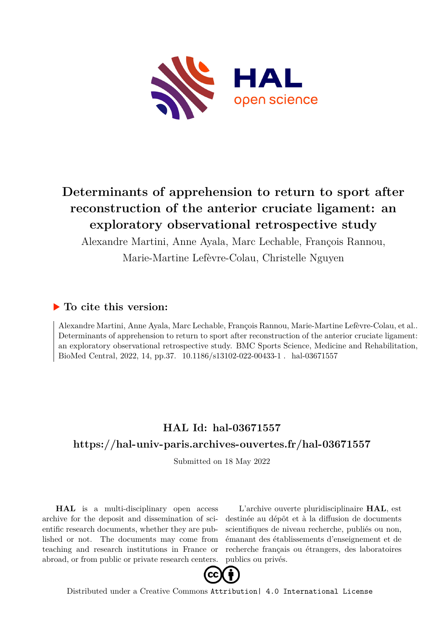

# **Determinants of apprehension to return to sport after reconstruction of the anterior cruciate ligament: an exploratory observational retrospective study**

Alexandre Martini, Anne Ayala, Marc Lechable, François Rannou,

Marie-Martine Lefèvre-Colau, Christelle Nguyen

# **To cite this version:**

Alexandre Martini, Anne Ayala, Marc Lechable, François Rannou, Marie-Martine Lefèvre-Colau, et al.. Determinants of apprehension to return to sport after reconstruction of the anterior cruciate ligament: an exploratory observational retrospective study. BMC Sports Science, Medicine and Rehabilitation, BioMed Central, 2022, 14, pp.37. 10.1186/s13102-022-00433-1 . hal-03671557

# **HAL Id: hal-03671557 <https://hal-univ-paris.archives-ouvertes.fr/hal-03671557>**

Submitted on 18 May 2022

**HAL** is a multi-disciplinary open access archive for the deposit and dissemination of scientific research documents, whether they are published or not. The documents may come from teaching and research institutions in France or abroad, or from public or private research centers.

L'archive ouverte pluridisciplinaire **HAL**, est destinée au dépôt et à la diffusion de documents scientifiques de niveau recherche, publiés ou non, émanant des établissements d'enseignement et de recherche français ou étrangers, des laboratoires publics ou privés.



Distributed under a Creative Commons [Attribution| 4.0 International License](http://creativecommons.org/licenses/by/4.0/)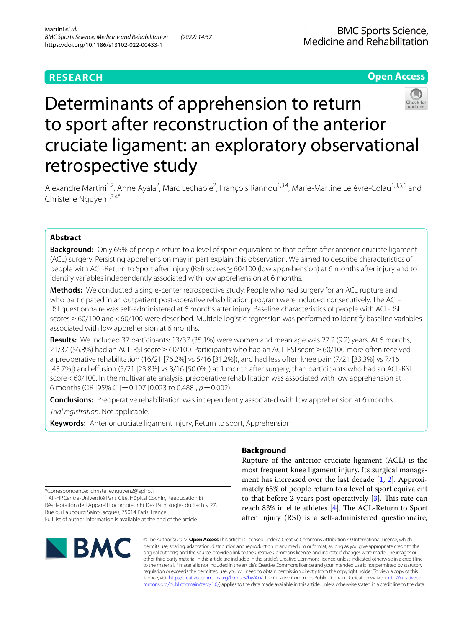# **RESEARCH**

# **Open Access**



# Determinants of apprehension to return to sport after reconstruction of the anterior cruciate ligament: an exploratory observational retrospective study

Alexandre Martini<sup>1,2</sup>, Anne Ayala<sup>2</sup>, Marc Lechable<sup>2</sup>, François Rannou<sup>1,3,4</sup>, Marie-Martine Lefèvre-Colau<sup>1,3,5,6</sup> and Christelle Nguyen<sup> $1,3,4*$ </sup>

# **Abstract**

**Background:** Only 65% of people return to a level of sport equivalent to that before after anterior cruciate ligament (ACL) surgery. Persisting apprehension may in part explain this observation. We aimed to describe characteristics of people with ACL-Return to Sport after Injury (RSI) scores ≥ 60/100 (low apprehension) at 6 months after injury and to identify variables independently associated with low apprehension at 6 months.

**Methods:** We conducted a single-center retrospective study. People who had surgery for an ACL rupture and who participated in an outpatient post-operative rehabilitation program were included consecutively. The ACL-RSI questionnaire was self-administered at 6 months after injury. Baseline characteristics of people with ACL-RSI scores≥60/100 and<60/100 were described. Multiple logistic regression was performed to identify baseline variables associated with low apprehension at 6 months.

**Results:** We included 37 participants: 13/37 (35.1%) were women and mean age was 27.2 (9.2) years. At 6 months, 21/37 (56.8%) had an ACL-RSI score≥60/100. Participants who had an ACL-RSI score≥60/100 more often received a preoperative rehabilitation (16/21 [76.2%] vs 5/16 [31.2%]), and had less often knee pain (7/21 [33.3%] vs 7/16 [43.7%]) and efusion (5/21 [23.8%] vs 8/16 [50.0%]) at 1 month after surgery, than participants who had an ACL-RSI score<60/100. In the multivariate analysis, preoperative rehabilitation was associated with low apprehension at 6 months (OR [95% CI]=0.107 [0.023 to 0.488], *p*=0.002).

**Conclusions:** Preoperative rehabilitation was independently associated with low apprehension at 6 months.

*Trial registration*. Not applicable.

**Keywords:** Anterior cruciate ligament injury, Return to sport, Apprehension

# **Background**

Rupture of the anterior cruciate ligament (ACL) is the most frequent knee ligament injury. Its surgical management has increased over the last decade [1, 2]. Approximately 65% of people return to a level of sport equivalent to that before 2 years post-operatively  $[3]$ . This rate can reach 83% in elite athletes  $[4]$ . The ACL-Return to Sport after Injury (RSI) is a self-administered questionnaire,

\*Correspondence: christelle.nguyen2@aphp.fr

<sup>1</sup> AP-HP.Centre-Université Paris Cité, Hôpital Cochin, Rééducation Et Réadaptation de L'Appareil Locomoteur Et Des Pathologies du Rachis, 27, Rue du Faubourg Saint‑Jacques, 75014 Paris, France Full list of author information is available at the end of the article



© The Author(s) 2022. **Open Access** This article is licensed under a Creative Commons Attribution 4.0 International License, which permits use, sharing, adaptation, distribution and reproduction in any medium or format, as long as you give appropriate credit to the original author(s) and the source, provide a link to the Creative Commons licence, and indicate if changes were made. The images or other third party material in this article are included in the article's Creative Commons licence, unless indicated otherwise in a credit line to the material. If material is not included in the article's Creative Commons licence and your intended use is not permitted by statutory regulation or exceeds the permitted use, you will need to obtain permission directly from the copyright holder. To view a copy of this licence, visit [http://creativecommons.org/licenses/by/4.0/.](http://creativecommons.org/licenses/by/4.0/) The Creative Commons Public Domain Dedication waiver ([http://creativeco](http://creativecommons.org/publicdomain/zero/1.0/) [mmons.org/publicdomain/zero/1.0/](http://creativecommons.org/publicdomain/zero/1.0/)) applies to the data made available in this article, unless otherwise stated in a credit line to the data.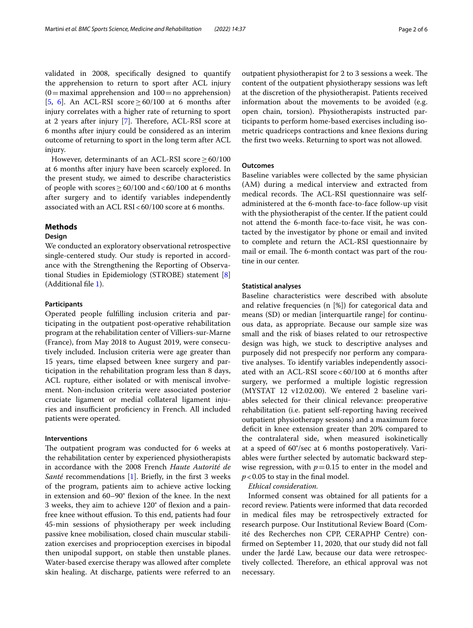validated in 2008, specifcally designed to quantify the apprehension to return to sport after ACL injury  $(0=$  maximal apprehension and  $100=$  no apprehension) [5, 6]. An ACL-RSI score  $\geq 60/100$  at 6 months after injury correlates with a higher rate of returning to sport at 2 years after injury [7]. Therefore, ACL-RSI score at 6 months after injury could be considered as an interim outcome of returning to sport in the long term after ACL injury.

However, determinants of an ACL-RSI score  $\geq 60/100$ at 6 months after injury have been scarcely explored. In the present study, we aimed to describe characteristics of people with scores  $> 60/100$  and  $< 60/100$  at 6 months after surgery and to identify variables independently associated with an ACL RSI < 60/100 score at 6 months.

# **Methods**

# **Design**

We conducted an exploratory observational retrospective single-centered study. Our study is reported in accordance with the Strengthening the Reporting of Observational Studies in Epidemiology (STROBE) statement [8] (Additional fle 1).

# **Participants**

Operated people fulflling inclusion criteria and participating in the outpatient post-operative rehabilitation program at the rehabilitation center of Villiers-sur-Marne (France), from May 2018 to August 2019, were consecutively included. Inclusion criteria were age greater than 15 years, time elapsed between knee surgery and participation in the rehabilitation program less than 8 days, ACL rupture, either isolated or with meniscal involvement. Non-inclusion criteria were associated posterior cruciate ligament or medial collateral ligament injuries and insufficient proficiency in French. All included patients were operated.

# **Interventions**

The outpatient program was conducted for 6 weeks at the rehabilitation center by experienced physiotherapists in accordance with the 2008 French *Haute Autorité de Santé* recommendations [1]. Briefly, in the first 3 weeks of the program, patients aim to achieve active locking in extension and 60–90° fexion of the knee. In the next 3 weeks, they aim to achieve 120° of fexion and a painfree knee without effusion. To this end, patients had four 45-min sessions of physiotherapy per week including passive knee mobilisation, closed chain muscular stabilization exercises and proprioception exercises in bipodal then unipodal support, on stable then unstable planes. Water-based exercise therapy was allowed after complete skin healing. At discharge, patients were referred to an

outpatient physiotherapist for 2 to 3 sessions a week. The content of the outpatient physiotherapy sessions was left at the discretion of the physiotherapist. Patients received information about the movements to be avoided (e.g. open chain, torsion). Physiotherapists instructed participants to perform home-based exercises including isometric quadriceps contractions and knee fexions during the frst two weeks. Returning to sport was not allowed.

## **Outcomes**

Baseline variables were collected by the same physician (AM) during a medical interview and extracted from medical records. The ACL-RSI questionnaire was selfadministered at the 6-month face-to-face follow-up visit with the physiotherapist of the center. If the patient could not attend the 6-month face-to-face visit, he was contacted by the investigator by phone or email and invited to complete and return the ACL-RSI questionnaire by mail or email. The 6-month contact was part of the routine in our center.

## **Statistical analyses**

Baseline characteristics were described with absolute and relative frequencies (n [%]) for categorical data and means (SD) or median [interquartile range] for continuous data, as appropriate. Because our sample size was small and the risk of biases related to our retrospective design was high, we stuck to descriptive analyses and purposely did not prespecify nor perform any comparative analyses. To identify variables independently associated with an ACL-RSI score<60/100 at 6 months after surgery, we performed a multiple logistic regression (MYSTAT 12 v12.02.00). We entered 2 baseline variables selected for their clinical relevance: preoperative rehabilitation (i.e. patient self-reporting having received outpatient physiotherapy sessions) and a maximum force deficit in knee extension greater than 20% compared to the contralateral side, when measured isokinetically at a speed of 60°/sec at 6 months postoperatively. Variables were further selected by automatic backward stepwise regression, with  $p=0.15$  to enter in the model and  $p < 0.05$  to stay in the final model.

## *Ethical consideration.*

Informed consent was obtained for all patients for a record review. Patients were informed that data recorded in medical fles may be retrospectively extracted for research purpose. Our Institutional Review Board (Comité des Recherches non CPP, CERAPHP Centre) confrmed on September 11, 2020, that our study did not fall under the Jardé Law, because our data were retrospectively collected. Therefore, an ethical approval was not necessary.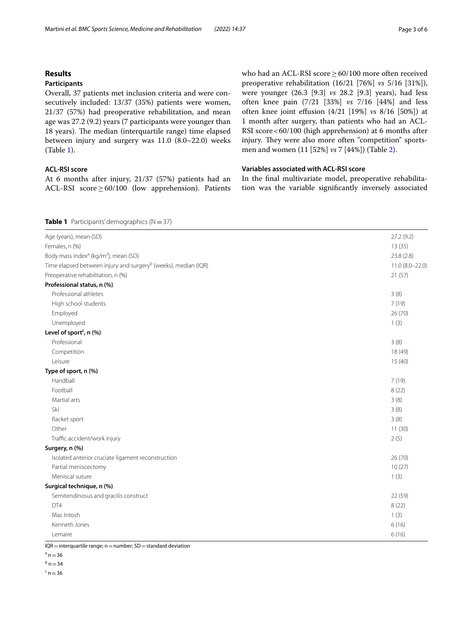# **Results**

# **Participants**

Overall, 37 patients met inclusion criteria and were consecutively included: 13/37 (35%) patients were women, 21/37 (57%) had preoperative rehabilitation, and mean age was 27.2 (9.2) years (7 participants were younger than 18 years). The median (interquartile range) time elapsed between injury and surgery was 11.0 (8.0–22.0) weeks (Table 1).

# **ACL‑RSI score**

At 6 months after injury, 21/37 (57%) patients had an ACL-RSI score≥60/100 (low apprehension). Patients who had an ACL-RSI score≥60/100 more often received preoperative rehabilitation (16/21 [76%] *vs* 5/16 [31%]), were younger (26.3 [9.3] *vs* 28.2 [9.3] years), had less often knee pain (7/21 [33%] *vs* 7/16 [44%] and less often knee joint efusion (4/21 [19%] *vs* 8/16 [50%]) at 1 month after surgery, than patients who had an ACL-RSI score<60/100 (high apprehension) at 6 months after injury. They were also more often "competition" sportsmen and women (11 [52%] *vs* 7 [44%]) (Table 2).

# **Variables associated with ACL‑RSI score**

In the fnal multivariate model, preoperative rehabilitation was the variable signifcantly inversely associated

# **Table 1** Participants' demographics  $(N=37)$

| Age (years), mean (SD)                                                     | 27.2(9.2)       |
|----------------------------------------------------------------------------|-----------------|
| Females, n (%)                                                             | 13(35)          |
| Body mass index <sup>a</sup> (kg/m <sup>2</sup> ), mean (SD)               | 23.8 (2.8)      |
| Time elapsed between injury and surgery <sup>b</sup> (weeks), median (IQR) | 11.0 (8.0-22.0) |
| Preoperative rehabilitation, n (%)                                         | 21(57)          |
| Professional status, n (%)                                                 |                 |
| Professional athletes                                                      | 3(8)            |
| High school students                                                       | 7(19)           |
| Employed                                                                   | 26 (70)         |
| Unemployed                                                                 | 1(3)            |
| Level of sport <sup>c</sup> , n (%)                                        |                 |
| Professional                                                               | 3(8)            |
| Competition                                                                | 18 (49)         |
| Leisure                                                                    | 15(40)          |
| Type of sport, n (%)                                                       |                 |
| Handball                                                                   | 7(19)           |
| Football                                                                   | 8(22)           |
| Martial arts                                                               | 3(8)            |
| Ski                                                                        | 3(8)            |
| Racket sport                                                               | 3(8)            |
| Other                                                                      | 11(30)          |
| Traffic accident/work injury                                               | 2(5)            |
| Surgery, n (%)                                                             |                 |
| Isolated anterior cruciate ligament reconstruction                         | 26(70)          |
| Partial meniscectomy                                                       | 10(27)          |
| Meniscal suture                                                            | 1(3)            |
| Surgical technique, n (%)                                                  |                 |
| Semitendinosus and gracilis construct                                      | 22 (59)         |
| DT4                                                                        | 8(22)           |
| Mac Intosh                                                                 | 1(3)            |
| Kenneth Jones                                                              | 6(16)           |
| Lemaire                                                                    | 6(16)           |
| مرافقه مرادم<br>and CD and and should also death<br>$\sum_{n=1}^{\infty}$  |                 |

 $IQR =$  interquartile range;  $n =$  number; SD = standard deviation

 $a = 36$ 

 $^{\rm b}$  n = 34

 $\frac{c}{n}$ n = 36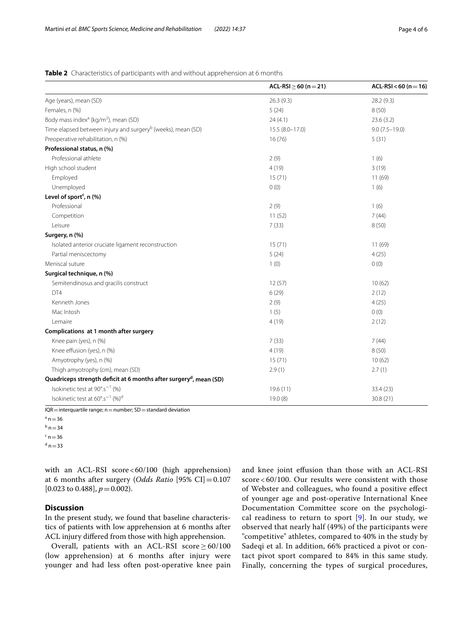# **Table 2** Characteristics of participants with and without apprehension at 6 months

|                                                                                | $ACL-RSI \geq 60 (n=21)$ | $ACL-RSI < 60 (n = 16)$ |
|--------------------------------------------------------------------------------|--------------------------|-------------------------|
| Age (years), mean (SD)                                                         | 26.3(9.3)                | 28.2 (9.3)              |
| Females, n (%)                                                                 | 5(24)                    | 8(50)                   |
| Body mass index <sup>a</sup> (kg/m <sup>2</sup> ), mean (SD)                   | 24(4.1)                  | 23.6(3.2)               |
| Time elapsed between injury and surgery <sup>b</sup> (weeks), mean (SD)        | $15.5(8.0 - 17.0)$       | $9.0(7.5 - 19.0)$       |
| Preoperative rehabilitation, n (%)                                             | 16(76)                   | 5(31)                   |
| Professional status, n (%)                                                     |                          |                         |
| Professional athlete                                                           | 2(9)                     | 1(6)                    |
| High school student                                                            | 4(19)                    | 3(19)                   |
| Employed                                                                       | 15(71)                   | 11(69)                  |
| Unemployed                                                                     | 0(0)                     | 1(6)                    |
| Level of sport <sup>c</sup> , n (%)                                            |                          |                         |
| Professional                                                                   | 2(9)                     | 1(6)                    |
| Competition                                                                    | 11(52)                   | 7(44)                   |
| Leisure                                                                        | 7(33)                    | 8(50)                   |
| Surgery, n (%)                                                                 |                          |                         |
| Isolated anterior cruciate ligament reconstruction                             | 15(71)                   | 11(69)                  |
| Partial meniscectomy                                                           | 5(24)                    | 4(25)                   |
| Meniscal suture                                                                | 1(0)                     | 0(0)                    |
| Surgical technique, n (%)                                                      |                          |                         |
| Semitendinosus and gracilis construct                                          | 12(57)                   | 10(62)                  |
| DT4                                                                            | 6(29)                    | 2(12)                   |
| Kenneth Jones                                                                  | 2(9)                     | 4(25)                   |
| Mac Intosh                                                                     | 1(5)                     | 0(0)                    |
| Lemaire                                                                        | 4(19)                    | 2(12)                   |
| Complications at 1 month after surgery                                         |                          |                         |
| Knee pain (yes), n (%)                                                         | 7(33)                    | 7(44)                   |
| Knee effusion (yes), n (%)                                                     | 4(19)                    | 8(50)                   |
| Amyotrophy (yes), n (%)                                                        | 15(71)                   | 10(62)                  |
| Thigh amyotrophy (cm), mean (SD)                                               | 2.9(1)                   | 2.7(1)                  |
| Quadriceps strength deficit at 6 months after surgery <sup>d</sup> , mean (SD) |                          |                         |
| Isokinetic test at 90°.s <sup>-1</sup> (%)                                     | 19.6(11)                 | 33.4 (23)               |
| Isokinetic test at 60°.s <sup>-1</sup> (%) <sup>d</sup>                        | 19.0(8)                  | 30.8 (21)               |

 $IQR =$  interquartile range;  $n =$  number;  $SD =$  standard deviation

 $^{\circ}$  n  $=$  36  $^{\rm b}$  n = 34

 $c$  n = 36

 $d n = 33$ 

with an ACL-RSI score<60/100 (high apprehension) at 6 months after surgery (*Odds Ratio* [95% CI]=0.107  $[0.023 \text{ to } 0.488], p = 0.002$ .

# **Discussion**

In the present study, we found that baseline characteristics of patients with low apprehension at 6 months after ACL injury difered from those with high apprehension.

Overall, patients with an ACL-RSI score  $\geq 60/100$ (low apprehension) at 6 months after injury were younger and had less often post-operative knee pain and knee joint efusion than those with an ACL-RSI score < 60/100. Our results were consistent with those of Webster and colleagues, who found a positive efect of younger age and post-operative International Knee Documentation Committee score on the psychological readiness to return to sport  $[9]$ . In our study, we observed that nearly half (49%) of the participants were "competitive" athletes, compared to 40% in the study by Sadeqi et al. In addition, 66% practiced a pivot or contact pivot sport compared to 84% in this same study. Finally, concerning the types of surgical procedures,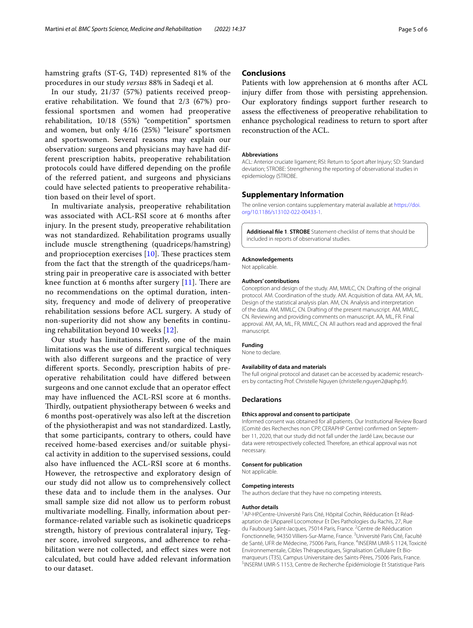hamstring grafts (ST-G, T4D) represented 81% of the procedures in our study *versus* 88% in Sadeqi et al.

In our study, 21/37 (57%) patients received preoperative rehabilitation. We found that 2/3 (67%) professional sportsmen and women had preoperative rehabilitation, 10/18 (55%) "competition" sportsmen and women, but only 4/16 (25%) "leisure" sportsmen and sportswomen. Several reasons may explain our observation: surgeons and physicians may have had different prescription habits, preoperative rehabilitation protocols could have difered depending on the profle of the referred patient, and surgeons and physicians could have selected patients to preoperative rehabilitation based on their level of sport.

In multivariate analysis, preoperative rehabilitation was associated with ACL-RSI score at 6 months after injury. In the present study, preoperative rehabilitation was not standardized. Rehabilitation programs usually include muscle strengthening (quadriceps/hamstring) and proprioception exercises  $[10]$ . These practices stem from the fact that the strength of the quadriceps/hamstring pair in preoperative care is associated with better knee function at 6 months after surgery  $[11]$ . There are no recommendations on the optimal duration, intensity, frequency and mode of delivery of preoperative rehabilitation sessions before ACL surgery. A study of non-superiority did not show any benefts in continuing rehabilitation beyond 10 weeks [12].

Our study has limitations. Firstly, one of the main limitations was the use of diferent surgical techniques with also diferent surgeons and the practice of very diferent sports. Secondly, prescription habits of preoperative rehabilitation could have difered between surgeons and one cannot exclude that an operator efect may have infuenced the ACL-RSI score at 6 months. Thirdly, outpatient physiotherapy between 6 weeks and 6 months post-operatively was also left at the discretion of the physiotherapist and was not standardized. Lastly, that some participants, contrary to others, could have received home-based exercises and/or suitable physical activity in addition to the supervised sessions, could also have infuenced the ACL-RSI score at 6 months. However, the retrospective and exploratory design of our study did not allow us to comprehensively collect these data and to include them in the analyses. Our small sample size did not allow us to perform robust multivariate modelling. Finally, information about performance-related variable such as isokinetic quadriceps strength, history of previous contralateral injury, Tegner score, involved surgeons, and adherence to rehabilitation were not collected, and efect sizes were not calculated, but could have added relevant information to our dataset.

# **Conclusions**

Patients with low apprehension at 6 months after ACL injury difer from those with persisting apprehension. Our exploratory fndings support further research to assess the efectiveness of preoperative rehabilitation to enhance psychological readiness to return to sport after reconstruction of the ACL.

#### **Abbreviations**

ACL: Anterior cruciate ligament; RSI: Return to Sport after Injury; SD: Standard deviation; STROBE: Strengthening the reporting of observational studies in epidemiology (STROBE.

# **Supplementary Information**

The online version contains supplementary material available at [https://doi.](https://doi.org/10.1186/s13102-022-00433-1) [org/10.1186/s13102-022-00433-1](https://doi.org/10.1186/s13102-022-00433-1).

**Additional fle 1**. **STROBE** Statement-checklist of items that should be included in reports of observational studies.

#### **Acknowledgements**

Not applicable.

#### **Authors' contributions**

Conception and design of the study. AM, MMLC, CN. Drafting of the original protocol. AM. Coordination of the study. AM. Acquisition of data. AM, AA, ML. Design of the statistical analysis plan. AM, CN. Analysis and interpretation of the data. AM, MMLC, CN. Drafting of the present manuscript. AM, MMLC, CN. Reviewing and providing comments on manuscript. AA, ML, FR. Final approval. AM, AA, ML, FR, MMLC, CN. All authors read and approved the fnal manuscript.

## **Funding**

None to declare.

#### **Availability of data and materials**

The full original protocol and dataset can be accessed by academic researchers by contacting Prof. Christelle Nguyen (christelle.nguyen2@aphp.fr).

#### **Declarations**

#### **Ethics approval and consent to participate**

Informed consent was obtained for all patients. Our Institutional Review Board (Comité des Recherches non CPP, CERAPHP Centre) confrmed on Septem‑ ber 11, 2020, that our study did not fall under the Jardé Law, because our data were retrospectively collected. Therefore, an ethical approval was not necessary.

#### **Consent for publication**

Not applicable.

#### **Competing interests**

The authors declare that they have no competing interests.

#### **Author details**

<sup>1</sup> AP-HP.Centre-Université Paris Cité, Hôpital Cochin, Rééducation Et Réadaptation de L'Appareil Locomoteur Et Des Pathologies du Rachis, 27, Rue du Faubourg Saint-Jacques, 75014 Paris, France. <sup>2</sup> Centre de Rééducation Fonctionnelle, 94350 Villiers-Sur-Marne, France.<sup>3</sup> Université Paris Cité, Faculté de Santé, UFR de Médecine, 75006 Paris, France. <sup>4</sup>INSERM UMR-S 1124, Toxicité Environnementale, Cibles Thérapeutiques, Signalisation Cellulaire Et Biomarqueurs (T3S), Campus Universitaire des Saints‑Pères, 75006 Paris, France. 5 <sup>5</sup>INSERM UMR-S 1153, Centre de Recherche Épidémiologie Et Statistique Paris